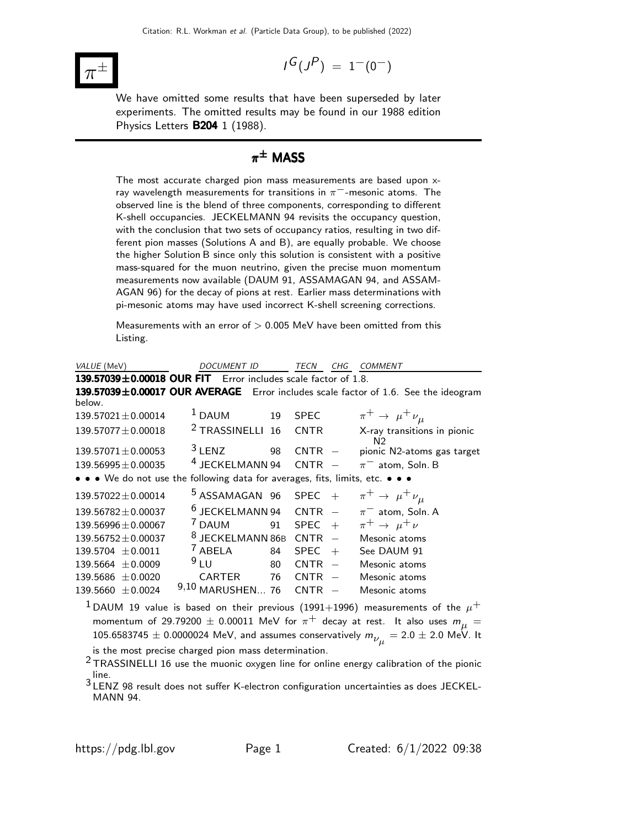

$$
I^G(J^P) = 1^-(0^-)
$$

We have omitted some results that have been superseded by later experiments. The omitted results may be found in our 1988 edition Physics Letters B204 1 (1988).

# $\pi^{\pm}$  MASS

The most accurate charged pion mass measurements are based upon xray wavelength measurements for transitions in  $\pi^-$ -mesonic atoms. The observed line is the blend of three components, corresponding to different K-shell occupancies. JECKELMANN 94 revisits the occupancy question, with the conclusion that two sets of occupancy ratios, resulting in two different pion masses (Solutions A and B), are equally probable. We choose the higher Solution B since only this solution is consistent with a positive mass-squared for the muon neutrino, given the precise muon momentum measurements now available (DAUM 91, ASSAMAGAN 94, and ASSAM-AGAN 96) for the decay of pions at rest. Earlier mass determinations with pi-mesonic atoms may have used incorrect K-shell screening corrections.

Measurements with an error of  $> 0.005$  MeV have been omitted from this Listing.

| VALUE (MeV)                                                                   | <i>DOCUMENT ID</i>          | TECN              | CHG                      | <b>COMMENT</b>                                                                            |
|-------------------------------------------------------------------------------|-----------------------------|-------------------|--------------------------|-------------------------------------------------------------------------------------------|
| $139.57039 \pm 0.00018$ OUR FIT Error includes scale factor of 1.8.           |                             |                   |                          |                                                                                           |
|                                                                               |                             |                   |                          | 139.57039±0.00017 OUR AVERAGE Error includes scale factor of 1.6. See the ideogram        |
| below.                                                                        |                             |                   |                          |                                                                                           |
| $139.57021 \pm 0.00014$                                                       | $1$ DAUM                    | 19<br><b>SPEC</b> |                          | $\pi^+ \rightarrow \mu^+ \nu_\mu$                                                         |
| $139.57077 \pm 0.00018$                                                       | <sup>2</sup> TRASSINELLI    | 16<br><b>CNTR</b> |                          | X-ray transitions in pionic<br>N <sub>2</sub>                                             |
| $139.57071 \pm 0.00053$                                                       | $3$ LENZ                    | 98<br><b>CNTR</b> | $\hspace{0.1cm}$         | pionic N2-atoms gas target                                                                |
| $139.56995 \pm 0.00035$                                                       | <sup>4</sup> JECKELMANN 94  | <b>CNTR</b>       |                          | $\pi^-$ atom, Soln. B                                                                     |
| • • • We do not use the following data for averages, fits, limits, etc. • • • |                             |                   |                          |                                                                                           |
| $139.57022 \pm 0.00014$                                                       | <sup>5</sup> ASSAMAGAN 96   | SPEC              | $+$                      | $\pi^+ \rightarrow \mu^+ \nu_\mu$                                                         |
| $139.56782 \pm 0.00037$                                                       | $6$ JECKELMANN 94           | CNTR              |                          | $\pi^-$ atom, Soln. A                                                                     |
| $139.56996 \pm 0.00067$                                                       | $'$ DAUM                    | <b>SPEC</b><br>91 | $+$                      | $\pi^+ \rightarrow \mu^+ \nu$                                                             |
| $139.56752 \pm 0.00037$                                                       | <sup>8</sup> JECKELMANN 86B | <b>CNTR</b>       | $\equiv$                 | Mesonic atoms                                                                             |
| $139.5704 \pm 0.0011$                                                         | <sup>7</sup> ABELA          | 84<br><b>SPEC</b> | $+$                      | See DAUM 91                                                                               |
| $139.5664 \pm 0.0009$                                                         | 9LU                         | 80<br><b>CNTR</b> | $\overline{\phantom{a}}$ | Mesonic atoms                                                                             |
| $139.5686 \pm 0.0020$                                                         | <b>CARTER</b>               | 76<br><b>CNTR</b> |                          | Mesonic atoms                                                                             |
| $139.5660 \pm 0.0024$                                                         | 9,10 MARUSHEN 76            | <b>CNTR</b>       |                          | Mesonic atoms                                                                             |
|                                                                               |                             |                   |                          | $^1$ DAUM 19 value is based on their previous (1991 $+$ 1996) measurements of the $\mu^+$ |

momentum of 29.79200  $\pm$  0.00011 MeV for  $\pi^{+}$  decay at rest. It also uses  $m_{\mu}$  =  $105.6583745 \pm 0.0000024$  MeV, and assumes conservatively  $m_{\overline{\nu}_\mu} = 2.0 \pm 2.0$  MeV. It

is the most precise charged pion mass determination.

 $2$  TRASSINELLI 16 use the muonic oxygen line for online energy calibration of the pionic line.

3 LENZ 98 result does not suffer K-electron configuration uncertainties as does JECKEL-MANN 94.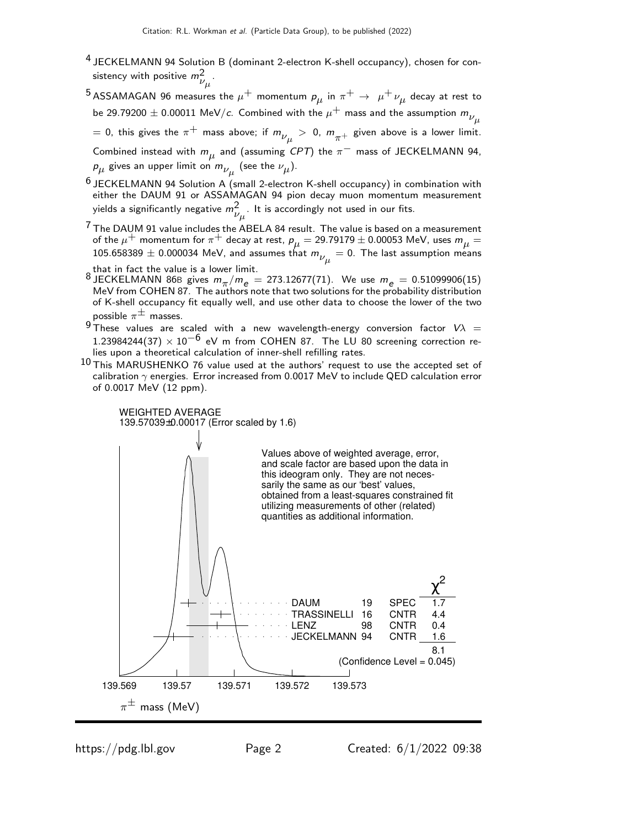- <sup>4</sup> JECKELMANN 94 Solution B (dominant 2-electron K-shell occupancy), chosen for consistency with positive  $m_{\nu_\mu}^2$ .
- $^5$ ASSAMAGAN 96 measures the  $\mu^+$  momentum  $\rho_{\mu}$  in  $\pi^+ \rightarrow \ \mu^+ \nu_{\mu}$  decay at rest to be 29.79200  $\pm$  0.00011 MeV/c. Combined with the  $\mu^{+}$  mass and the assumption  $m_{\nu}^{}_{\mu}$

 $=$  0, this gives the  $\pi^+$  mass above; if  $m_{\nu_{\mu}}^{}>$  0,  $m_{\pi^+}^{}$  given above is a lower limit.

Combined instead with  $m_{\mu}$  and (assuming CPT) the  $\pi^-$  mass of JECKELMANN 94,  $\rho_{\mu}$  gives an upper limit on  $m_{\nu_{\mu}}$  (see the  $\nu_{\mu}$ ).

- <sup>6</sup> JECKELMANN 94 Solution A (small 2-electron K-shell occupancy) in combination with either the DAUM 91 or ASSAMAGAN 94 pion decay muon momentum measurement yields a significantly negative  $m_{\nu_\mu}^2$ . It is accordingly not used in our fits.
- $7$  The DAUM 91 value includes the ABELA 84 result. The value is based on a measurement of the  $\mu^+$  momentum for  $\pi^+$  decay at rest,  $\bm{\rho}_{\mu} = 29.79179 \pm 0.00053$  MeV, uses  $\bm{m}_{\mu} =$ 105.658389  $\pm$  0.000034 MeV, and assumes that  $m_{\nu_{\mu}}^{}=0.$  The last assumption means

- that in fact the value is a lower limit.<br><sup>8</sup> JECKELMANN 86B gives  $m_{\pi}/m_e = 273.12677(71)$ . We use  $m_e = 0.51099906(15)$ <br>MeV from COHEN 87. The authors note that two solutions for the probability distribution of K-shell occupancy fit equally well, and use other data to choose the lower of the two possible  $\pi^{\pm}$  masses.
- $9$  These values are scaled with a new wavelength-energy conversion factor  $V\lambda =$ 1.23984244(37)  $\times$  10<sup>-6</sup> eV m from COHEN 87. The LU 80 screening correction relies upon a theoretical calculation of inner-shell refilling rates.
- $10$  This MARUSHENKO 76 value used at the authors' request to use the accepted set of calibration  $\gamma$  energies. Error increased from 0.0017 MeV to include QED calculation error of 0.0017 MeV (12 ppm).

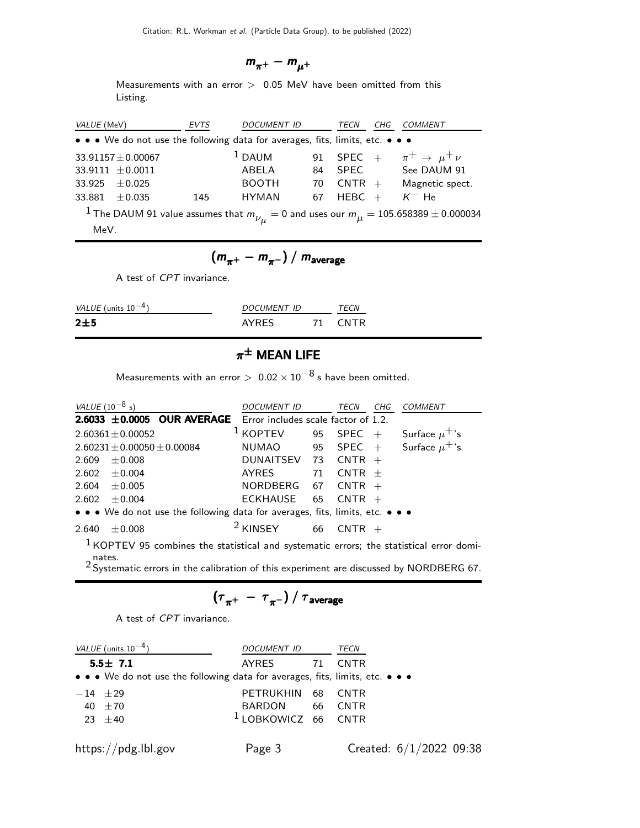$$
m_{\pi^+} - m_{\mu^+}
$$

Measurements with an error  $> 0.05$  MeV have been omitted from this Listing.

| VALUE (MeV)                                                                                                   |                        | EVTS | <b>DOCUMENT ID</b> |    | CHG<br>TECN                             | <i>COMMENT</i>  |  |  |  |
|---------------------------------------------------------------------------------------------------------------|------------------------|------|--------------------|----|-----------------------------------------|-----------------|--|--|--|
| • • • We do not use the following data for averages, fits, limits, etc. • • •                                 |                        |      |                    |    |                                         |                 |  |  |  |
|                                                                                                               | $33.91157 \pm 0.00067$ |      | $1$ DAUM           |    | 91 SPEC + $\pi^+ \rightarrow \mu^+ \nu$ |                 |  |  |  |
|                                                                                                               | $33.9111 \pm 0.0011$   |      | ABELA              | 84 | <b>SPEC</b>                             | See DAUM 91     |  |  |  |
| 33.925                                                                                                        | $+0.025$               |      | <b>BOOTH</b>       | 70 | $CNTR +$                                | Magnetic spect. |  |  |  |
| 33.881                                                                                                        | $+0.035$               | 145  | <b>HYMAN</b>       | 67 | HEBC $+$                                | $K^-$ He        |  |  |  |
| $^{-1}$ The DAUM 91 value assumes that $m_{\nu_{_{II}}} = 0$ and uses our $m_{\mu} = 105.658389 \pm 0.000034$ |                        |      |                    |    |                                         |                 |  |  |  |
| MeV.                                                                                                          |                        |      |                    |    |                                         |                 |  |  |  |

$$
\left(m_{\pi^+}-m_{\pi^-}\right)/\; m_{\rm average}
$$

A test of CPT invariance.

| VALUE (units $10^{-4}$ ) | DOCUMENT ID  | <i>TFCN</i> |
|--------------------------|--------------|-------------|
| 2±5                      | <b>AYRES</b> | CNTR        |

# $\pi^\pm$  Mean Life

Measurements with an error  $> 0.02 \times 10^{-8}$  s have been omitted.

| <i>VALUE</i> (10 <sup>-8</sup> s) |                                   |                                                                                           | DOCUMENT ID                                      |    | TECN     | CHG | <b>COMMENT</b> |
|-----------------------------------|-----------------------------------|-------------------------------------------------------------------------------------------|--------------------------------------------------|----|----------|-----|----------------|
|                                   |                                   | $2.6033 \pm 0.0005$ OUR AVERAGE Error includes scale factor of 1.2.                       |                                                  |    |          |     |                |
|                                   | $2.60361 \pm 0.00052$             |                                                                                           | <sup>1</sup> KOPTEV 95 SPEC + Surface $\mu^+$ 's |    |          |     |                |
|                                   | $2.60231 \pm 0.00050 \pm 0.00084$ |                                                                                           | NUMAO 95 SPEC + Surface $\mu^+$ 's               |    |          |     |                |
| 2.609                             | $\pm$ 0.008                       |                                                                                           | DUNAITSEV 73 CNTR $+$                            |    |          |     |                |
|                                   | $2.602 \pm 0.004$                 |                                                                                           | AYRES                                            | 71 | $CNTR +$ |     |                |
|                                   | $2.604 \pm 0.005$                 |                                                                                           | NORDBERG 67 CNTR $+$                             |    |          |     |                |
| 2.602                             | $\pm 0.004$                       |                                                                                           | ECKHAUSE 65                                      |    | $CNTR +$ |     |                |
|                                   |                                   | • • • We do not use the following data for averages, fits, limits, etc. • • •             |                                                  |    |          |     |                |
| 2.640                             | $+0.008$                          |                                                                                           | <sup>2</sup> KINSEY                              | 66 | $CNTR +$ |     |                |
| nates.                            |                                   | $1$ KOPTEV 95 combines the statistical and systematic errors; the statistical error domi- |                                                  |    |          |     |                |

 $2$  Systematic errors in the calibration of this experiment are discussed by NORDBERG 67.

$$
\left(\tau_{\pi^+}~-~\tau_{\pi^-}\right)/~\tau_{\rm average}
$$

A test of CPT invariance.

| <i>VALUE</i> (units $10^{-4}$ )                                               | DOCUMENT ID                    |    | TECN                      |
|-------------------------------------------------------------------------------|--------------------------------|----|---------------------------|
| $5.5 \pm 7.1$                                                                 | AYRES                          | 71 | <b>CNTR</b>               |
| • • • We do not use the following data for averages, fits, limits, etc. • • • |                                |    |                           |
| $-14$ $\pm 29$                                                                | PETRUKHIN 68                   |    | <b>CNTR</b>               |
| 40 $\pm 70$                                                                   | BARDON 66 CNTR                 |    |                           |
| 23 $\pm 40$                                                                   | <sup>1</sup> LOBKOWICZ 66 CNTR |    |                           |
|                                                                               |                                |    |                           |
| https://pdg.lbl.gov                                                           | Page 3                         |    | Created: $6/1/2022$ 09:38 |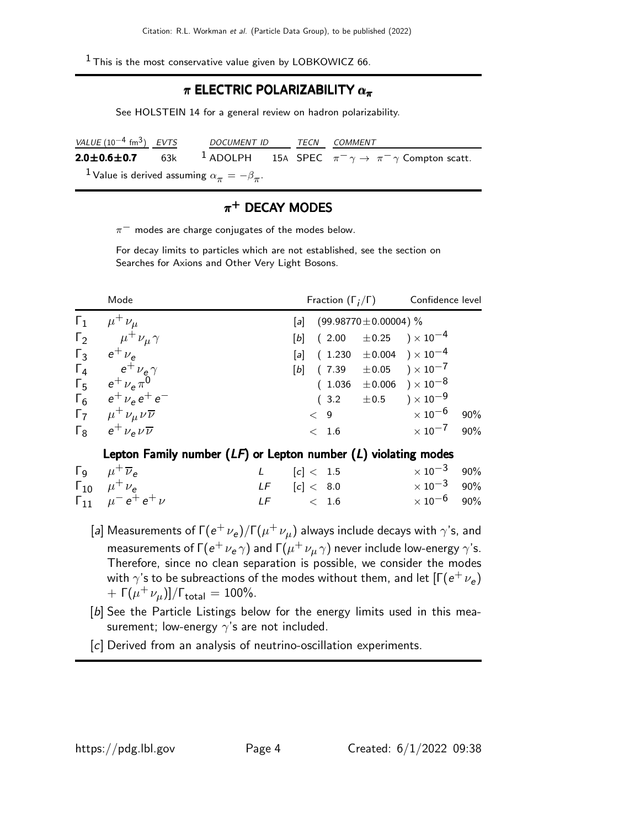$1$  This is the most conservative value given by LOBKOWICZ 66.

#### $\pi$  ELECTRIC POLARIZABILITY  $\alpha_{\pi}$

See HOLSTEIN 14 for a general review on hadron polarizability.

| VALUE $(10^{-4}$ fm <sup>3</sup> ) EVTS                           | DOCUMENT ID TECN COMMENT |  |                                                                                                      |  |
|-------------------------------------------------------------------|--------------------------|--|------------------------------------------------------------------------------------------------------|--|
|                                                                   |                          |  | <b>2.0±0.6±0.7</b> 63k <sup>1</sup> ADOLPH 15A SPEC $\pi^{-}\gamma \to \pi^{-}\gamma$ Compton scatt. |  |
| $^{-1}$ Value is derived assuming $\alpha_\pi^{}=-\beta_\pi^{} .$ |                          |  |                                                                                                      |  |

#### $\pi^+$  DECAY MODES

 $\pi^-$  modes are charge conjugates of the modes below.

For decay limits to particles which are not established, see the section on Searches for Axions and Other Very Light Bosons.

| Mode                                          | Fraction $(\Gamma_i/\Gamma)$<br>Confidence level                   |     |
|-----------------------------------------------|--------------------------------------------------------------------|-----|
| $\Gamma_1$ $\mu^+ \nu_\mu$                    | [a] $(99.98770 \pm 0.00004)$ %                                     |     |
| $\Gamma_2$ $\mu^{\dagger} \nu_{\mu} \gamma$   | [b] $(2.00 \pm 0.25) \times 10^{-4}$                               |     |
| $\Gamma_3$ $e^+$ $\nu_e$                      | [a] $(1.230 \pm 0.004) \times 10^{-4}$                             |     |
| $\Gamma_4$ $e^+ \nu_e \gamma$                 | $[b]$ (7.39 $\pm 0.05$ ) × 10 <sup>-7</sup>                        |     |
| $\Gamma_5$ $e^+ \nu_e \pi^0$                  | $(1.036 \pm 0.006) \times 10^{-8}$                                 |     |
| $\Gamma_6$ $e^+$ $\nu_e$ $e^+$ $e^-$          | $(3.2 \pm 0.5) \times 10^{-9}$                                     |     |
| $\Gamma_7$ $\mu^+ \nu_\mu \nu \overline{\nu}$ | $\times$ 10 $^{-6}$<br>< 9                                         | 90% |
| $\Gamma_8$ $e^+ \nu_e \nu \overline{\nu}$     | $\times$ 10 $^{-7}$ 90%<br>< 1.6                                   |     |
|                                               | Lepton Family number $(IF)$ or Lepton number $(I)$ violating modes |     |

#### epton Family number  $(Lr)$  or Lepton number  $(L)$  violating modes

| $\Gamma_9$ $\mu^+$ $\overline{\nu}_e$ | L $[c] < 1.5$    | $\times$ 10 <sup>-3</sup> 90% |  |
|---------------------------------------|------------------|-------------------------------|--|
| $\Gamma_{10}$ $\mu^{+}$ $\nu_{e}$     | $LF$ $[c] < 8.0$ | $\times\,10^{-3}$ 90%         |  |
| $\Gamma_{11}$ $\mu^- e^+ e^+ \nu$     | $LF \t\t 1.6$    | $\times$ 10 $^{-6}$ 90%       |  |

- [a] Measurements of Γ $({e^+} {\nu_e})/\Gamma(\mu^+ \nu_{\mu})$  always include decays with  $\gamma$ 's, and measurements of Г $(\mathrm{e}^+\,\nu_\mathrm{e}\,\gamma)$  and Г $(\mu^+\,\nu_\mu\,\gamma)$  never include low-energy  $\gamma$ 's. Therefore, since no clean separation is possible, we consider the modes with  $\gamma$ 's to be subreactions of the modes without them, and let  $[\Gamma(e^+ \, \nu_e)$ + Γ $(\mu^+ \nu_{\mu})$ ]/Γ<sub>total</sub> = 100%.
- [b] See the Particle Listings below for the energy limits used in this measurement; low-energy  $\gamma$ 's are not included.
- [c] Derived from an analysis of neutrino-oscillation experiments.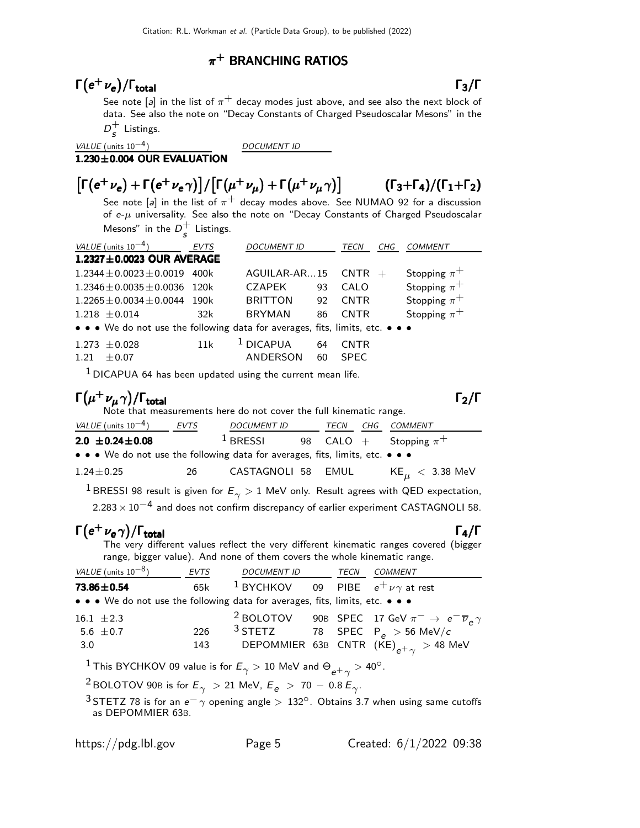#### $\pi^+$  BRANCHING RATIOS

# $\Gamma(e^+ \nu_e)/\Gamma_{\rm total}$  Γ<sub>3</sub>/Γ

See note [a] in the list of  $\pi^+$  decay modes just above, and see also the next block of data. See also the note on "Decay Constants of Charged Pseudoscalar Mesons" in the  $D_c^+$  $\frac{1}{s}$  Listings.

 $1.230\pm0.004$  OUR EVALUATION

VALUE (units  $10^{-4}$ ) DOCUMENT ID

#### $\left[\Gamma(e^+ \nu_e) + \Gamma(e^+ \nu_e \gamma)\right] / \left[\Gamma(\mu^+ \nu_\mu) + \Gamma(\mu^+ \nu_\mu \gamma)\right]$ )]  $(\Gamma_3+\Gamma_4)/(\Gamma_1+\Gamma_2)$

See note [a] in the list of  $\pi^{+}$  decay modes above. See NUMAO 92 for a discussion of  $e-\mu$  universality. See also the note on "Decay Constants of Charged Pseudoscalar Mesons" in the  $D_c^+$  $\frac{1}{s}$  Listings.

| VALUE (units $10^{-4}$ )                                                      | <b>EVTS</b> | <b>DOCUMENT ID</b> |    | TECN        | CHG | <b>COMMENT</b>   |  |  |  |
|-------------------------------------------------------------------------------|-------------|--------------------|----|-------------|-----|------------------|--|--|--|
| 1.2327±0.0023 OUR AVERAGE                                                     |             |                    |    |             |     |                  |  |  |  |
| $1.2344 \pm 0.0023 \pm 0.0019$                                                | 400k        | AGUILAR-AR15       |    | $CNTR +$    |     | Stopping $\pi^+$ |  |  |  |
| $1.2346 \pm 0.0035 \pm 0.0036$                                                | 120k        | <b>CZAPEK</b>      | 93 | CALO        |     | Stopping $\pi^+$ |  |  |  |
| $1.2265 \pm 0.0034 \pm 0.0044$                                                | 190k        | <b>BRITTON</b>     | 92 | <b>CNTR</b> |     | Stopping $\pi^+$ |  |  |  |
| $1.218 \pm 0.014$                                                             | 32k         | <b>BRYMAN</b>      | 86 | <b>CNTR</b> |     | Stopping $\pi^+$ |  |  |  |
| • • • We do not use the following data for averages, fits, limits, etc. • • • |             |                    |    |             |     |                  |  |  |  |
| $1.273 \pm 0.028$                                                             | 11k         | $1$ DICAPUA        | 64 | <b>CNTR</b> |     |                  |  |  |  |
| $\pm 0.07$<br>1.21                                                            |             | <b>ANDERSON</b>    | 60 | <b>SPEC</b> |     |                  |  |  |  |
|                                                                               |             |                    |    |             |     |                  |  |  |  |

 $1$  DICAPUA 64 has been updated using the current mean life.

#### $\Gamma(\mu^+ \nu_\mu \gamma)/\Gamma_{\rm total}$  Γ<sub>2</sub>/Γ /Γ $_{\rm total}$ Γ $_{\rm 2}$ /Γ

Note that measurements here do not cover the full kinematic range.

| VALUE (units $10^{-4}$ )                                                      | EVTS | <b>DOCUMENT ID</b> | TECN | CHG COMMENT                                                                                               |
|-------------------------------------------------------------------------------|------|--------------------|------|-----------------------------------------------------------------------------------------------------------|
| $2.0 \pm 0.24 \pm 0.08$                                                       |      | $1$ BRESSI         |      | 98 CALO + Stopping $\pi^+$                                                                                |
| • • • We do not use the following data for averages, fits, limits, etc. • • • |      |                    |      |                                                                                                           |
| $1.24 \pm 0.25$                                                               | 26.  | CASTAGNOLI 58 EMUL |      | $KE_{\mu}$ $<$ 3.38 MeV                                                                                   |
|                                                                               |      |                    |      | <sup>1</sup> BRESSI 98 result is given for $E_{\gamma} > 1$ MeV only. Result agrees with QED expectation, |

 $2.283 \times 10^{-4}$  and does not confirm discrepancy of earlier experiment CASTAGNOLI 58.

# $\Gamma(e^+ \nu_e \gamma)/\Gamma_{\rm total}$  Γ<sub>4</sub>/Γ

The very different values reflect the very different kinematic ranges covered (bigger range, bigger value). And none of them covers the whole kinematic range.

| VALUE (units $10^{-8}$ )                                                      | EVTS | <i>DOCUMENT ID</i>                                    | TECN | COMMENT                                                                              |
|-------------------------------------------------------------------------------|------|-------------------------------------------------------|------|--------------------------------------------------------------------------------------|
| 73.86±0.54                                                                    | 65k  | <sup>1</sup> BYCHKOV 09 PIBE $e^+ \nu \gamma$ at rest |      |                                                                                      |
| • • • We do not use the following data for averages, fits, limits, etc. • • • |      |                                                       |      |                                                                                      |
| 16.1 $\pm 2.3$                                                                |      |                                                       |      | <sup>2</sup> BOLOTOV 90B SPEC 17 GeV $\pi^- \rightarrow e^- \overline{\nu}_e \gamma$ |
| 5.6 $\pm$ 0.7                                                                 | 226  |                                                       |      | $3$ STETZ 78 SPEC P <sub>e</sub> > 56 MeV/c                                          |
| 3.0                                                                           | 143  |                                                       |      | DEPOMMIER 63B CNTR $(KE)_{e^+\gamma} > 48$ MeV                                       |

 $^1$ This BYCHKOV 09 value is for  $E_\gamma > 10$  MeV and  $\Theta_{e^+ \gamma} > 40^\circ.$ 

 $^2$ BOLOTOV 90B is for  $E_\gamma$   $>$  21 MeV,  $E_e$   $>$  70  $-$  0.8  $E_\gamma$ .

 $3$  STETZ 78 is for an  $e^-\gamma$  opening angle  $>132^\circ$ . Obtains 3.7 when using same cutoffs as DEPOMMIER 63B.

total and the set of the set of the set of the set of the set of the set of the set of the set of the set of t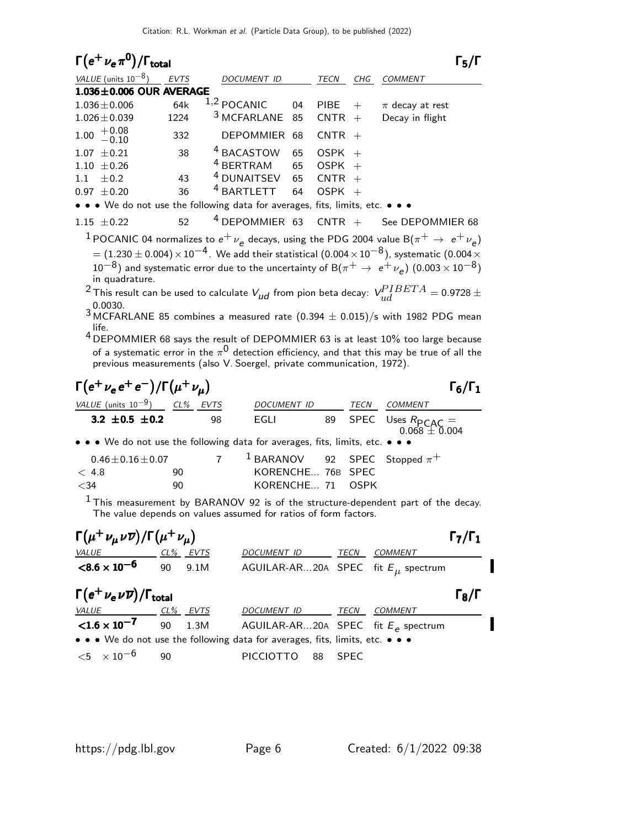| $\Gamma(e^+\nu_e\pi^0)/\Gamma_{\rm total}$         |             |                                                                               |    |             |     |                     |  |
|----------------------------------------------------|-------------|-------------------------------------------------------------------------------|----|-------------|-----|---------------------|--|
| VALUE (units $10^{-8}$ )                           | <b>EVTS</b> | <b>DOCUMENT ID</b>                                                            |    | <b>TECN</b> | CHG | <b>COMMENT</b>      |  |
| $1.036 \pm 0.006$ OUR AVERAGE                      |             |                                                                               |    |             |     |                     |  |
| $1.036 \pm 0.006$                                  | 64k         | $1,2$ POCANIC                                                                 | 04 | <b>PIBE</b> | $+$ | $\pi$ decay at rest |  |
| $1.026 \pm 0.039$                                  | 1224        | <sup>3</sup> MCFARLANE 85                                                     |    | $CNTR +$    |     | Decay in flight     |  |
| $1.00 \begin{array}{c} +0.08 \\ -0.10 \end{array}$ | 332         | DEPOMMIER 68                                                                  |    | $CNTR +$    |     |                     |  |
| $1.07 \pm 0.21$                                    | 38          | <sup>4</sup> BACASTOW                                                         | 65 | $OSPK +$    |     |                     |  |
| $1.10 + 0.26$                                      |             | $4$ BERTRAM                                                                   | 65 | $OSPK +$    |     |                     |  |
| $+0.2$<br>1.1                                      | 43          | $4$ DUNAITSEV 65                                                              |    | $CNTR +$    |     |                     |  |
| $+0.20$<br>0.97                                    | 36          | <sup>4</sup> BARTLETT                                                         | 64 | $OSPK +$    |     |                     |  |
|                                                    |             | • • • We do not use the following data for averages, fits, limits, etc. • • • |    |             |     |                     |  |

1.15  $\pm$  0.22 52 <sup>4</sup> DEPOMMIER 63 CNTR + See DEPOMMIER 68 1 POCANIC 04 normalizes to  $e^+ \nu_e$  decays, using the PDG 2004 value B $(\pi^+ \rightarrow \ e^+ \nu_e)$  $= (1.230 \pm 0.004) \times 10^{-4}$ . We add their statistical  $(0.004 \times 10^{-8})$ , systematic  $(0.004 \times$  $10^{-8}$ ) and systematic error due to the uncertainty of B $(\pi^+ \rightarrow e^+ \nu_e)$   $(0.003 \times 10^{-8})$ in quadrature.

<sup>2</sup> This result can be used to calculate  $V_{ud}$  from pion beta decay:  $\textit{V}^{PIBETA}_{ud} =$  0.9728  $\pm$ 0.0030.

 $3$  MCFARLANE 85 combines a measured rate  $(0.394 \pm 0.015)/s$  with 1982 PDG mean life.

4 DEPOMMIER 68 says the result of DEPOMMIER 63 is at least 10% too large because of a systematic error in the  $\pi^{\mathsf{0}}$  detection efficiency, and that this may be true of all the previous measurements (also V. Soergel, private communication, 1972).

| $\Gamma(e^+\nu_e e^+e^-)/\Gamma(\mu^+\nu_\mu)$                                                                        |    |    |                                                                   |      | $\Gamma_6/\Gamma_1$                              |
|-----------------------------------------------------------------------------------------------------------------------|----|----|-------------------------------------------------------------------|------|--------------------------------------------------|
| VALUE (units $10^{-9}$ ) CL% EVTS                                                                                     |    |    | <b>DOCUMENT ID</b>                                                | TECN | COMMENT                                          |
| 3.2 $\pm$ 0.5 $\pm$ 0.2                                                                                               |    | 98 | EGLI                                                              |      | 89 SPEC Uses $R_{\text{PCAC}} = 0.068 \pm 0.004$ |
| $\bullet \bullet \bullet$ We do not use the following data for averages, fits, limits, etc. $\bullet \bullet \bullet$ |    |    |                                                                   |      |                                                  |
| $0.46 \pm 0.16 \pm 0.07$<br>$\leq 4.8$                                                                                | 90 |    | <sup>1</sup> BARANOV 92 SPEC Stopped $\pi^+$<br>KORENCHE 76B SPEC |      |                                                  |
| $<$ 34<br>1.                                                                                                          | 90 |    | KORENCHE 71 OSPK                                                  |      |                                                  |

 $<sup>1</sup>$  This measurement by BARANOV 92 is of the structure-dependent part of the decay.</sup> The value depends on values assumed for ratios of form factors.

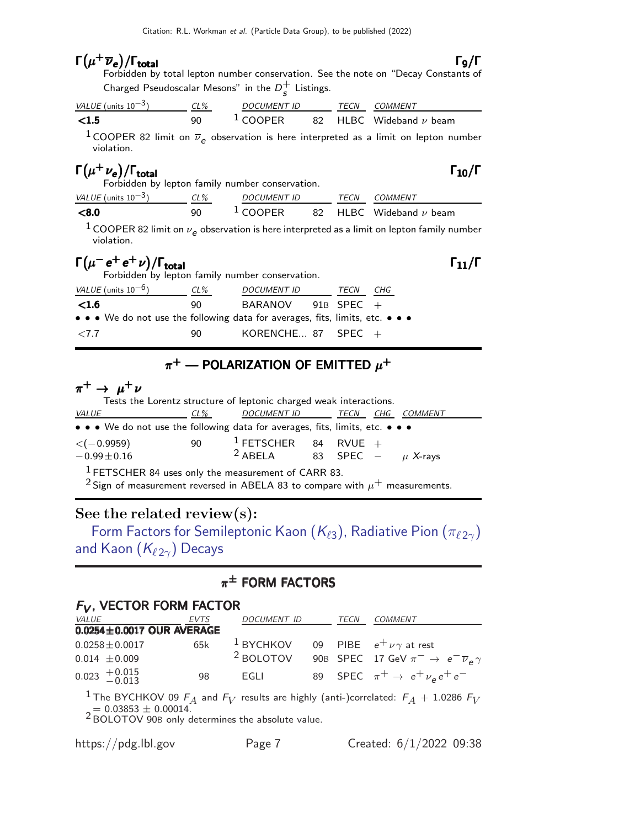| $\Gamma(\mu^+\overline{\nu}_e)/\Gamma_{\rm total}$                                                                                                                                                  |    |                                           |  | $\Gamma$ <sub>9</sub> /Γ<br>Forbidden by total lepton number conservation. See the note on "Decay Constants of |
|-----------------------------------------------------------------------------------------------------------------------------------------------------------------------------------------------------|----|-------------------------------------------|--|----------------------------------------------------------------------------------------------------------------|
| Charged Pseudoscalar Mesons" in the $D_c^+$ Listings.                                                                                                                                               |    |                                           |  |                                                                                                                |
|                                                                                                                                                                                                     |    |                                           |  |                                                                                                                |
| $\frac{VALUE \text{ (units 10}^{-3})}{VALUE \text{ (units 10}^{-3})}$ $\frac{CL\%}{90}$ $\frac{DOC \text{ MENT ID}}{1 \text{ COOPER}}$ $\frac{TECN}{82}$ $\frac{COMMENT}{HLBC}$ $Wideband \nu$ beam |    |                                           |  |                                                                                                                |
| violation.                                                                                                                                                                                          |    |                                           |  | <sup>1</sup> COOPER 82 limit on $\overline{\nu}_e$ observation is here interpreted as a limit on lepton number |
| $\Gamma(\mu^+\nu_e)/\Gamma_{\rm total}$<br>Forbidden by lepton family number conservation.                                                                                                          |    |                                           |  | $\Gamma_{10}/\Gamma$                                                                                           |
| $\frac{VALUE \text{ (units 10}^{-3})}{VALUE \text{ (units 10}^{-3})}$ $\frac{CL\%}{90}$ $\frac{DOC \text{ MENT ID}}{1 \text{ COOPER}}$ $\frac{TECN}{82}$ $\frac{COMMENT}{HLBC}$ $Wideband \nu$ beam |    |                                           |  |                                                                                                                |
|                                                                                                                                                                                                     |    |                                           |  |                                                                                                                |
| violation.                                                                                                                                                                                          |    |                                           |  | $^1$ COOPER 82 limit on $\nu_e$ observation is here interpreted as a limit on lepton family number             |
| $\Gamma(\mu^- e^+ e^+ \nu)/\Gamma_{\rm total}$<br>Forbidden by lepton family number conservation.                                                                                                   |    |                                           |  | $\Gamma_{11}/\Gamma$                                                                                           |
| $VALU E$ (units $10^{-6}$ ) $CL\%$ DOCUMENT ID TECN CHG                                                                                                                                             |    |                                           |  |                                                                                                                |
| < 1.6                                                                                                                                                                                               |    | 90 BARANOV 91B SPEC +                     |  |                                                                                                                |
| • • • We do not use the following data for averages, fits, limits, etc. • • •                                                                                                                       |    |                                           |  |                                                                                                                |
| ${<}7.7$                                                                                                                                                                                            | 90 | $\,$ KORENCHE 87 $\,$ SPEC $\,$ +         |  |                                                                                                                |
|                                                                                                                                                                                                     |    | $\pi^+$ — POLARIZATION OF EMITTED $\mu^+$ |  |                                                                                                                |
| $\pi^+ \rightarrow \mu^+ \nu$<br>Tests the Lorentz structure of leptonic charged weak interactions.                                                                                                 |    |                                           |  |                                                                                                                |

| <i>VALUE</i>                                                                  | $CL\%$ | DOCUMENT ID                               |  | TECN |  | CHG COMMENT |  |
|-------------------------------------------------------------------------------|--------|-------------------------------------------|--|------|--|-------------|--|
| • • • We do not use the following data for averages, fits, limits, etc. • • • |        |                                           |  |      |  |             |  |
| $\langle$ ( $-$ 0.9959)                                                       | 90     | <sup>1</sup> FETSCHER 84 RVUE +           |  |      |  |             |  |
| $-0.99 \pm 0.16$                                                              |        | <sup>2</sup> ABELA 83 SPEC – $\mu$ X-rays |  |      |  |             |  |
| $1$ FETSCHER 84 uses only the measurement of CARR 83.                         |        |                                           |  |      |  |             |  |

<sup>2</sup> Sign of measurement reversed in ABELA 83 to compare with  $\mu^+$  measurements.

### See the related review(s):

[Form Factors for Semileptonic Kaon \(](http://pdg.lbl.gov/2022/reviews/rpp2021-rev-form-factors-radiative-pik-decays.pdf) $K_{\ell 3}$ ), Radiative Pion ( $\pi_{\ell 2\gamma}$ ) and Kaon  $(K_{\ell 2\gamma})$  Decays

# $\pi^\pm$  form factors

#### $F_V$ , VECTOR FORM FACTOR

| <i>VALUE</i>                    | <i>EVTS</i> | DOCUMENT ID                                           | TECN | <i>COMMENT</i>                                                                                       |
|---------------------------------|-------------|-------------------------------------------------------|------|------------------------------------------------------------------------------------------------------|
| $0.0254 \pm 0.0017$ OUR AVERAGE |             |                                                       |      |                                                                                                      |
| $0.0258 \pm 0.0017$             | 65k         | <sup>1</sup> BYCHKOV 09 PIBE $e^+ \nu \gamma$ at rest |      |                                                                                                      |
| $0.014 \pm 0.009$               |             | <sup>2</sup> BOLOTOV                                  |      | 90B SPEC 17 GeV $\pi^- \rightarrow e^- \overline{\nu}_e \gamma$                                      |
| $0.023$ $+0.015$<br>$-0.013$    | 98          | EGLI                                                  |      | 89 SPEC $\pi^+ \rightarrow e^+ \nu_e e^+ e^-$                                                        |
|                                 |             |                                                       |      | <sup>1</sup> The BYCHKOV 09 $F_A$ and $F_V$ results are highly (anti-)correlated: $F_A + 1.0286 F_V$ |

<sup>1</sup> The BYCHKOV 09  $F_A$  and  $F_V$  results are highly (anti-)correlated:  $F_A$  + 1.0286  $F_V$ <br> $\alpha = 0.03853 \pm 0.00014$ .

2 BOLOTOV 90<sup>B</sup> only determines the absolute value.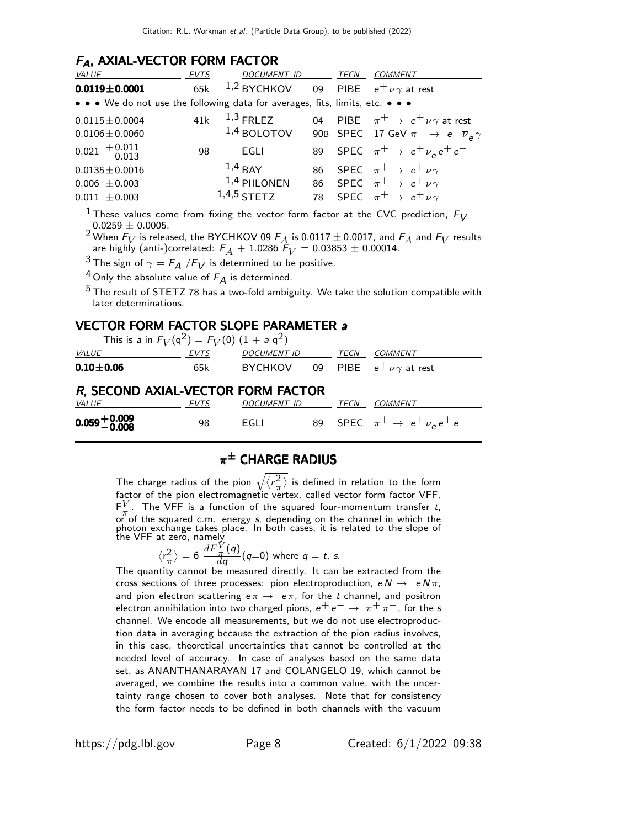#### FA, AXIAL-VECTOR FORM FACTOR

| VALUE                                                                         | <b>EVTS</b> | DOCUMENT ID                                  | TECN | <b>COMMENT</b>                                                                                                                         |
|-------------------------------------------------------------------------------|-------------|----------------------------------------------|------|----------------------------------------------------------------------------------------------------------------------------------------|
| $0.0119 \pm 0.0001$                                                           | 65k         | 1,2 BYCHKOV 09 PIBE $e^+ \nu \gamma$ at rest |      |                                                                                                                                        |
| • • • We do not use the following data for averages, fits, limits, etc. • • • |             |                                              |      |                                                                                                                                        |
| $0.0115 \pm 0.0004$<br>$0.0106 \pm 0.0060$                                    |             | 41 $k$ $1,3$ FRLEZ<br>$1,4$ BOLOTOV          |      | 04 PIBE $\pi^+ \rightarrow e^+ \nu \gamma$ at rest<br>90B SPEC 17 GeV $\pi^- \rightarrow e^- \overline{\nu}_e \gamma$                  |
| $0.021 + 0.011$<br>-0.013                                                     | 98          | EGLI                                         |      | 89 SPEC $\pi^+ \rightarrow e^+ \nu_e e^+ e^-$                                                                                          |
| $0.0135 \pm 0.0016$<br>$0.006 \pm 0.003$<br>$0.011 \pm 0.003$                 |             | $1,4$ BAY<br>$1,4$ PIILONEN<br>$1,4,5$ STETZ |      | 86 SPEC $\pi^+ \rightarrow e^+ \nu \gamma$<br>86 SPEC $\pi^+ \rightarrow e^+ \nu \gamma$<br>78 SPEC $\pi^+ \rightarrow e^+ \nu \gamma$ |

<sup>1</sup> These values come from fixing the vector form factor at the CVC prediction,  $F_V =$  $0.0259 \pm 0.0005$ .

<sup>2</sup> When  $F_V$  is released, the BYCHKOV 09  $F_A$  is 0.0117  $\pm$  0.0017, and  $F_A$  and  $F_V$  results are highly (anti-)correlated:  $F_A + 1.0286$   $\hat{F}_V = 0.03853 \pm 0.00014.$ 

 $3$  The sign of  $\gamma = F_A / F_V$  is determined to be positive.

<sup>4</sup> Only the absolute value of  $F_A$  is determined.

<sup>5</sup> The result of STETZ 78 has a two-fold ambiguity. We take the solution compatible with later determinations.

#### VECTOR FORM FACTOR SLOPE PARAMETER a

This is a in  $F_V(\mathfrak{q}^2) = F_V(0)$   $(1 + a \mathfrak{q}^2)$ 

| $\cdots$ . $\cdots$ $\cdots$ $\cdots$ $\cdots$ $\cdots$ $\cdots$ $\cdots$ $\cdots$ $\cdots$ $\cdots$ |      |                                          |      |                                       |
|------------------------------------------------------------------------------------------------------|------|------------------------------------------|------|---------------------------------------|
| <i>VALUE</i>                                                                                         | EVTS | <b>DOCUMENT ID</b>                       | TECN | <i>COMMENT</i>                        |
| $0.10 + 0.06$                                                                                        | 65k  | BYCHKOV 09 PIBE $e^+ \nu \gamma$ at rest |      |                                       |
| R, SECOND AXIAL-VECTOR FORM FACTOR<br><i>VALUE</i>                                                   | EVTS | DOCUMENT ID                              | TECN | <i>COMMENT</i>                        |
| $0.059 + 0.009 - 0.008$                                                                              | 98   | EGLI                                     |      | 89 SPEC $\pi^+ \to e^+ \nu_e e^+ e^-$ |

# $\pi^\pm$  CHARGE RADIUS

The charge radius of the pion  $\sqrt{\langle r_{\pi}^2 \rangle}$  $\left\langle \frac{2}{\pi} \right\rangle$  is defined in relation to the form factor of the pion electromagnetic vertex, called vector form factor VFF,  $F_{\pi}^V$  $\frac{V}{\pi}$ . The VFF is a function of the squared four-momentum transfer t, or of the squared c.m. energy s, depending on the channel in which the photon exchange takes place. In both cases, it is related to the slope of the VFF at zero, namely

$$
\langle r_{\pi}^2 \rangle = 6 \frac{dF_{\pi}^V(q)}{dq}(q=0) \text{ where } q = t, \text{ s.}
$$

The quantity cannot be measured directly. It can be extracted from the cross sections of three processes: pion electroproduction,  $e N \rightarrow e N \pi$ , and pion electron scattering  $e\pi \rightarrow e\pi$ , for the t channel, and positron electron annihilation into two charged pions,  $e^+e^- \rightarrow \pi^+\pi^-$ , for the s channel. We encode all measurements, but we do not use electroproduction data in averaging because the extraction of the pion radius involves, in this case, theoretical uncertainties that cannot be controlled at the needed level of accuracy. In case of analyses based on the same data set, as ANANTHANARAYAN 17 and COLANGELO 19, which cannot be averaged, we combine the results into a common value, with the uncertainty range chosen to cover both analyses. Note that for consistency the form factor needs to be defined in both channels with the vacuum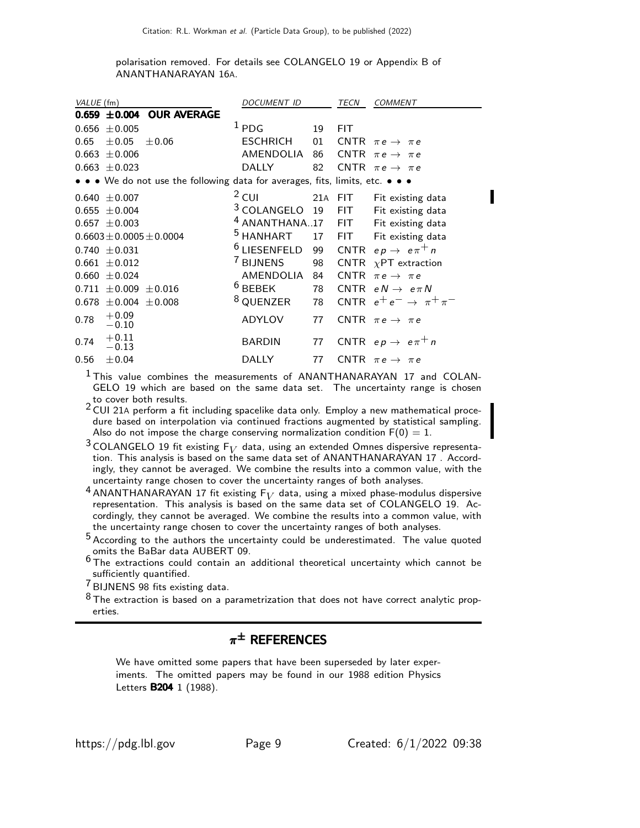polarisation removed. For details see COLANGELO 19 or Appendix B of ANANTHANARAYAN 16A.

| VALUE (fm) |                                                                               | <b>DOCUMENT ID</b>                             |    | TECN        | <b>COMMENT</b>                       |
|------------|-------------------------------------------------------------------------------|------------------------------------------------|----|-------------|--------------------------------------|
|            | $0.659 \pm 0.004$ OUR AVERAGE                                                 |                                                |    |             |                                      |
| 0.656      | $\pm 0.005$                                                                   | $1$ PDG                                        | 19 | <b>FIT</b>  |                                      |
| 0.65       | $\pm 0.05$<br>$\pm 0.06$                                                      | <b>ESCHRICH</b>                                | 01 |             | CNTR $\pi e \rightarrow \pi e$       |
| 0.663      | $\pm 0.006$                                                                   | AMENDOLIA                                      | 86 | <b>CNTR</b> | $\pi e \rightarrow \pi e$            |
|            | $0.663 \pm 0.023$                                                             | <b>DALLY</b>                                   | 82 |             | CNTR $\pi e \rightarrow \pi e$       |
|            | • • • We do not use the following data for averages, fits, limits, etc. • • • |                                                |    |             |                                      |
| 0.640      | $\pm$ 0.007                                                                   | $2$ CUI                                        |    | 21A FIT     | Fit existing data                    |
| 0.655      | $\pm 0.004$                                                                   | <sup>3</sup> COLANGELO                         | 19 | <b>FIT</b>  | Fit existing data                    |
|            | $0.657 \pm 0.003$                                                             | <sup>4</sup> ANANTHANA17 FIT Fit existing data |    |             |                                      |
|            | $0.6603 \pm 0.0005 \pm 0.0004$                                                | <sup>5</sup> HANHART                           | 17 | FIT.        | Fit existing data                    |
|            | $0.740 \pm 0.031$                                                             | $6$ LIESENFELD                                 | 99 |             | CNTR $ep \rightarrow e \pi^+ n$      |
| 0.661      | $\pm$ 0.012                                                                   | <sup>7</sup> BIJNENS                           | 98 | <b>CNTR</b> | $\chi$ PT extraction                 |
| 0.660      | $\pm$ 0.024                                                                   | AMENDOLIA                                      | 84 | <b>CNTR</b> | $\pi e \rightarrow \pi e$            |
| 0.711      | $\pm 0.009 \pm 0.016$                                                         | $6$ BEBEK                                      | 78 | CNTR        | $e\,N \rightarrow\; e\,\pi\,N$       |
| 0.678      | $\pm 0.004 \pm 0.008$                                                         | 8 QUENZER                                      | 78 |             | CNTR $e^+e^- \rightarrow \pi^+\pi^-$ |
| 0.78       | $+0.09$<br>$-0.10$                                                            | <b>ADYLOV</b>                                  | 77 |             | CNTR $\pi e \rightarrow \pi e$       |
| 0.74       | $+0.11$<br>$-0.13$                                                            | <b>BARDIN</b>                                  | 77 |             | CNTR $ep \rightarrow e \pi^+ n$      |
| 0.56       | ±0.04                                                                         | <b>DALLY</b>                                   | 77 |             | CNTR $\pi e \rightarrow \pi e$       |

<sup>1</sup> This value combines the measurements of ANANTHANARAYAN 17 and COLAN-GELO 19 which are based on the same data set. The uncertainty range is chosen to cover both results.

<sup>2</sup> CUI 21A perform a fit including spacelike data only. Employ a new mathematical procedure based on interpolation via continued fractions augmented by statistical sampling. Also do not impose the charge conserving normalization condition  $F(0) = 1$ .

<sup>3</sup> COLANGELO 19 fit existing  $F_V$  data, using an extended Omnes dispersive representation. This analysis is based on the same data set of ANANTHANARAYAN 17 . Accordingly, they cannot be averaged. We combine the results into a common value, with the uncertainty range chosen to cover the uncertainty ranges of both analyses.

<sup>4</sup> ANANTHANARAYAN 17 fit existing  $F_V$  data, using a mixed phase-modulus dispersive representation. This analysis is based on the same data set of COLANGELO 19. Accordingly, they cannot be averaged. We combine the results into a common value, with the uncertainty range chosen to cover the uncertainty ranges of both analyses.

5 According to the authors the uncertainty could be underestimated. The value quoted omits the BaBar data AUBERT 09.

6 The extractions could contain an additional theoretical uncertainty which cannot be sufficiently quantified.

7 BIJNENS 98 fits existing data.

 $8$  The extraction is based on a parametrization that does not have correct analytic properties.

# $\pi^\pm$  references

We have omitted some papers that have been superseded by later experiments. The omitted papers may be found in our 1988 edition Physics Letters **B204** 1 (1988).

Π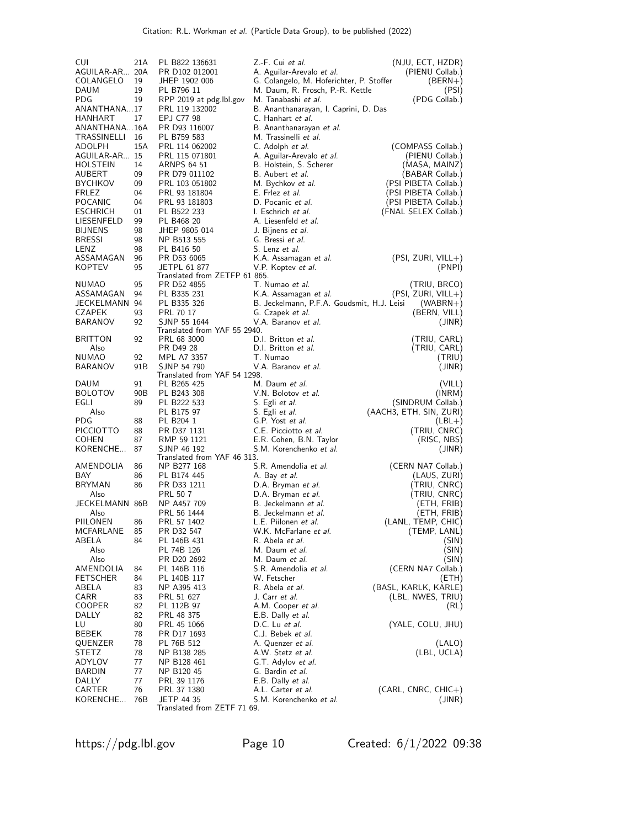| <b>CUI</b>                   | 21A       | PL B822 136631                | Z.-F. Cui et al.                                      | (NJU, ECT, HZDR)                   |
|------------------------------|-----------|-------------------------------|-------------------------------------------------------|------------------------------------|
| AGUILAR-AR 20A               |           | PR D102 012001                | A. Aguilar-Arevalo et al.                             | (PIENU Collab.)                    |
| COLANGELO                    | 19        | JHEP 1902 006                 | G. Colangelo, M. Hoferichter, P. Stoffer              | $(BERN+)$                          |
| <b>DAUM</b>                  | 19        | PL B796 11                    | M. Daum, R. Frosch, P.-R. Kettle                      | (PSI)                              |
| PDG                          | 19        | RPP 2019 at pdg.lbl.gov       | M. Tanabashi <i>et al.</i>                            | (PDG Collab.)                      |
| ANANTHANA17                  | 17        | PRL 119 132002                | B. Ananthanarayan, I. Caprini, D. Das                 |                                    |
| HANHART<br>ANANTHANA16A      |           | EPJ C77 98<br>PR D93 116007   | C. Hanhart <i>et al.</i><br>B. Ananthanarayan et al.  |                                    |
| TRASSINELLI 16               |           | PL B759 583                   | M. Trassinelli <i>et al.</i>                          |                                    |
| ADOLPH                       | 15A       | PRL 114 062002                | C. Adolph et al.                                      | (COMPASS Collab.)                  |
| AGUILAR-AR 15                |           | PRL 115 071801                | A. Aguilar-Arevalo <i>et al.</i>                      | (PIENU Collab.)                    |
| HOLSTEIN                     | 14        | ARNPS 64 51                   | B. Holstein, S. Scherer                               | (MASA, MAINZ)                      |
| AUBERT                       | 09        | PR D79 011102                 | B. Aubert <i>et al.</i>                               | (BABAR Collab.)                    |
| <b>BYCHKOV</b>               | 09        | PRL 103 051802                | M. Bychkov <i>et al.</i>                              | (PSI PIBETA Collab.)               |
| FRLEZ                        | 04        | PRL 93 181804                 | E. Frlez <i>et al.</i>                                | (PSI PIBETA Collab.)               |
| POCANIC                      | 04        | PRL 93 181803                 | D. Pocanic et al.                                     | (PSI PIBETA Collab.)               |
| ESCHRICH                     | 01        | PL B522 233                   | I. Eschrich et al.                                    | (FNAL SELEX Collab.)               |
| LIESENFELD<br><b>BIJNENS</b> | 99<br>98  | PL B468 20<br>JHEP 9805 014   | A. Liesenfeld et al.<br>J. Bijnens <i>et al.</i>      |                                    |
| <b>BRESSI</b>                | 98        | NP B513 555                   | G. Bressi <i>et al.</i>                               |                                    |
| LENZ                         | 98        | PL B416 50                    | S. Lenz <i>et al.</i>                                 |                                    |
| ASSAMAGAN                    | 96        | PR D53 6065                   | K.A. Assamagan et al.                                 | $(PSI, ZURI, VILL+)$               |
| <b>KOPTEV</b>                | 95        | <b>JETPL 61 877</b>           | V.P. Koptev <i>et al.</i>                             | (PNPI)                             |
|                              |           | Translated from ZETFP 61 865. |                                                       |                                    |
| <b>NUMAO</b>                 | 95        | PR D52 4855                   | T. Numao et al.                                       | (TRIU, BRCO)                       |
| ASSAMAGAN                    | 94        | PL B335 231                   | K.A. Assamagan et al.                                 | $(PSI, ZURI, VILL+)$               |
| JECKELMANN 94                | 93        | PL B335 326                   | B. Jeckelmann, P.F.A. Goudsmit, H.J. Leisi            | $(WABRN+ )$                        |
| CZAPEK<br><b>BARANOV</b>     | 92        | PRL 70 17<br>SJNP 55 1644     | G. Czapek <i>et al.</i><br>V.A. Baranov <i>et al.</i> | (BERN, VILL)<br>(JINR)             |
|                              |           | Translated from YAF 55 2940.  |                                                       |                                    |
| <b>BRITTON</b>               | 92        | PRL 68 3000                   | D.I. Britton et al.                                   | (TRIU, CARL)                       |
| Also                         |           | PR D49 28                     | D.I. Britton et al.                                   | (TRIU, CARL)                       |
| NUMAO                        | 92        | MPL A7 3357                   | T. Numao                                              | (TRIU)                             |
| BARANOV                      | 91B       | SJNP 54 790                   | V.A. Baranov et al.                                   | (JINR)                             |
|                              |           | Translated from YAF 54 1298.  | M. Daum et al.                                        |                                    |
| DAUM<br><b>BOLOTOV</b>       | 91<br>90B | PL B265 425<br>PL B243 308    | V.N. Bolotov et al.                                   | (VILL)<br>(INRM)                   |
| EGLI                         | 89        | PL B222 533                   | S. Egli <i>et al.</i>                                 | (SINDRUM Collab.)                  |
| Also                         |           | PL B175 97                    | S. Egli et al.                                        | (AACH3, ETH, SIN, ZURI)            |
| PDG                          | 88        | PL B204 1                     | G.P. Yost et al.                                      | $(LBL+)$                           |
| PICCIOTTO                    | 88        | PR D37 1131                   | C.E. Picciotto et al.                                 | (TRIU, CNRC)                       |
| <b>COHEN</b>                 | 87        | RMP 59 1121                   | E.R. Cohen, B.N. Taylor                               | (RISC, NBS)                        |
| KORENCHE                     | 87        | SJNP 46 192                   | S.M. Korenchenko et al.                               | (JINR)                             |
|                              |           | Translated from YAF 46 313.   |                                                       |                                    |
| AMENDOLIA<br>BAY             | 86<br>86  | NP B277 168<br>PL B174 445    | S.R. Amendolia <i>et al.</i>                          | (CERN NA7 Collab.)<br>(LAUS, ZURI) |
| <b>BRYMAN</b>                | 86        | PR D33 1211                   | A. Bay <i>et al.</i><br>D.A. Bryman et al.            | (TRIU, CNRC)                       |
| Also                         |           | PRL 50 7                      | D.A. Bryman et al.                                    | (TRIU, CNRC)                       |
| JECKELMANN 86B               |           | NP A457 709                   | B. Jeckelmann et al.                                  | (ETH, FRIB)                        |
| Also                         |           | PRL 56 1444                   | B. Jeckelmann et al.                                  | (ETH, FRIB)                        |
| PIILONEN                     | 86        | PRL 57 1402                   | L.E. Piilonen et al.                                  | (LANL, TEMP, CHIC)                 |
| MCFARLANE                    | 85        | PR D32 547                    | W.K. McFarlane et al.                                 | (TEMP, LANL)                       |
| ABELA                        | 84        | PL 146B 431                   | R. Abela <i>et al.</i>                                | (SIN)                              |
| Also                         |           | PL 74B 126                    | M. Daum et al.                                        | (SIN)                              |
| Also                         |           | PR D20 2692                   | M. Daum et al.                                        | (SIN)                              |
| AMENDOLIA<br><b>FETSCHER</b> | 84        | PL 146B 116<br>PL 140B 117    | S.R. Amendolia <i>et al.</i><br>W. Fetscher           | (CERN NA7 Collab.)                 |
| ABELA                        | 84<br>83  | NP A395 413                   | R. Abela <i>et al.</i>                                | (ETH)<br>(BASL, KARLK, KARLE)      |
| CARR                         | 83        | PRL 51 627                    | J. Carr <i>et al.</i>                                 | (LBL, NWES, TRIU)                  |
| <b>COOPER</b>                | 82        | PL 112B 97                    | A.M. Cooper <i>et al.</i>                             | (RL)                               |
| DALLY                        | 82        | PRL 48 375                    | E.B. Dally et al.                                     |                                    |
| LU                           | 80        | PRL 45 1066                   | D.C. Lu et al.                                        | (YALE, COLU, JHU)                  |
| BEBEK                        | 78        | PR D17 1693                   | C.J. Bebek <i>et al.</i>                              |                                    |
| QUENZER                      | 78        | PL 76B 512                    | A. Quenzer <i>et al.</i>                              | (LALO)                             |
| STETZ                        | 78        | NP B138 285                   | A.W. Stetz <i>et al.</i>                              | (LBL, UCLA)                        |
| ADYLOV                       | 77        | NP B128 461                   | G.T. Adylov et al.                                    |                                    |
| BARDIN<br>DALLY              | 77<br>77  | NP B120 45                    | G. Bardin <i>et al.</i>                               |                                    |
| CARTER                       | 76        | PRL 39 1176<br>PRL 37 1380    | E.B. Dally et al.<br>A.L. Carter et al.               | $(CARL, CNRC, CHIC+)$              |
| KORENCHE                     | 76B       | JETP 44 35                    | S.M. Korenchenko <i>et al.</i>                        | (JINR)                             |
|                              |           | Translated from ZETF 71 69.   |                                                       |                                    |